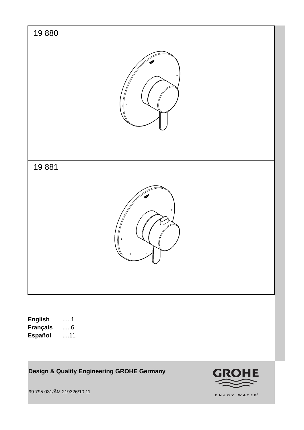

**Design & Quality Engineering GROHE Germany**

99.795.031/ÄM 219326/10.11

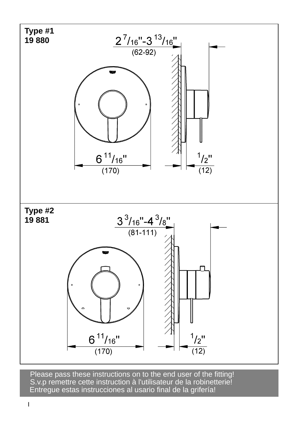

S.v.p remettre cette instruction à l'utilisateur de la robinetterie! Entregue estas instrucciones al usario final de la grifería! Please pass these instructions on to the end user of the fitting!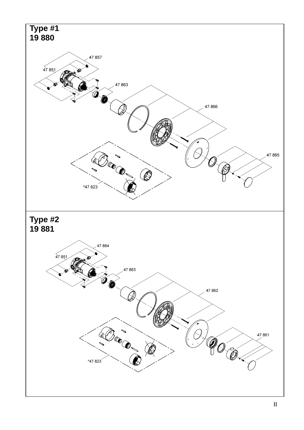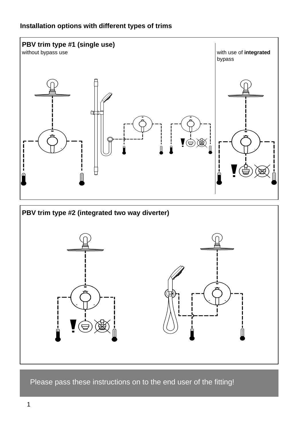# **Installation options with different types of trims**



Please pass these instructions on to the end user of the fitting!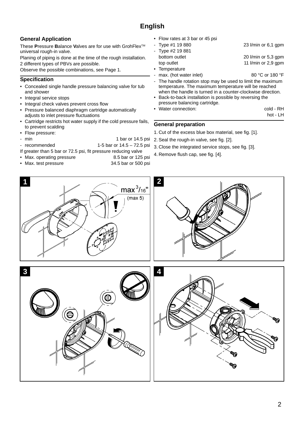## **General Application**

These **P**ressure **B**alance **V**alves are for use with GrohFlexTM universal rough-in valve.

Planing of piping is done at the time of the rough installation. 2 different types of PBVs are possible.

Observe the possible combinations, see Page 1.

### **Specification**

- Concealed single handle pressure balancing valve for tub and shower
- Integral service stops
- Integral check valves prevent cross flow
- Pressure balanced diaphragm cartridge automatically adjusts to inlet pressure fluctuations
- Cartridge restricts hot water supply if the cold pressure fails, to prevent scalding
- Flow pressure:
- min 1 bar or 14.5 psi
- recommended 1-5 bar or 14.5 72.5 psi
- If greater than 5 bar or 72.5 psi, fit pressure reducing valve
- Max. operating pressure 8.5 bar or 125 psi
- 
- Max. test pressure 34.5 bar or 500 psi
- Flow rates at 3 bar or 45 psi
- Type #1 19 880 23 l/min or 6,1 gpm Type #2 19 881 bottom outlet 20 l/min or 5,3 gpm top outlet 11 l/min or 2,9 gpm • Temperature
	- max. (hot water inlet) 80 °C or 180 °F
- The handle rotation stop may be used to limit the maximum temperature. The maximum temperature will be reached when the handle is turned in a counter-clockwise direction.
- Back-to-back installation is possible by reversing the pressure balancing cartridge.
- Vater connection: cold RH

hot - LH

### **General preparation**

- 1. Cut of the excess blue box material, see fig. [1].
- 2. Seal the rough-in valve, see fig. [2].
- 3. Close the integrated service stops, see fig. [3].
- 4. Remove flush cap, see fig. [4].

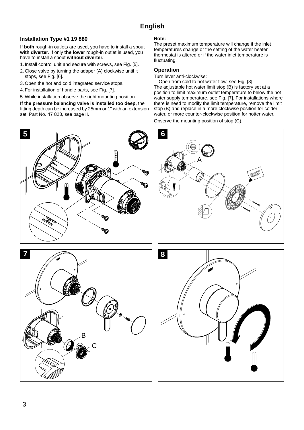### **Installation Type #1 19 880**

If **both** rough-in outlets are used, you have to install a spout **with diverter**. If only **the lower** rough-in outlet is used, you have to install a spout **without diverter**.

- 1. Install control unit and secure with screws, see Fig. [5].
- 2. Close valve by turning the adaper (A) clockwise until it stops, see Fig. [6].
- 3. Open the hot and cold integrated service stops.
- 4. For installation of handle parts, see Fig. [7].
- 5. While installation observe the right mounting position.

**If the pressure balancing valve is installed too deep,** the fitting depth can be increased by 25mm or 1" with an extension set, Part No. 47 823, see page II.

#### **Note:**

The preset maximum temperature will change if the inlet temperatures change or the setting of the water heater thermostat is altered or if the water inlet temperature is fluctuating.

#### **Operation**

Turn lever anti-clockwise:

Open from cold to hot water flow, see Fig. [8]. The adjustable hot water limit stop (B) is factory set at a position to limit maximum outlet temperature to below the hot water supply temperature, see Fig. [7]. For installations where there is need to modify the limit temperature, remove the limit stop (B) and replace in a more clockwise position for colder water, or more counter-clockwise position for hotter water.

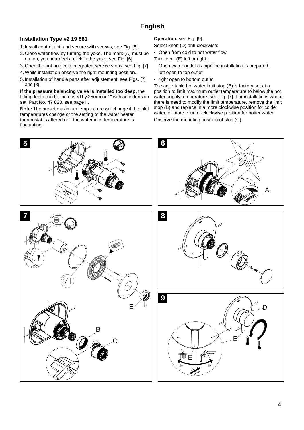### **Installation Type #2 19 881**

- 1. Install control unit and secure with screws, see Fig. [5].
- 2. Close water flow by turning the yoke. The mark (A) must be on top, you hear/feel a click in the yoke, see Fig. [6].
- 3. Open the hot and cold integrated service stops, see Fig. [7].
- 4. While installation observe the right mounting position.
- 5. Installation of handle parts after adjustement, see Figs. [7] and [8].

**If the pressure balancing valve is installed too deep,** the fitting depth can be increased by 25mm or 1" with an extension set, Part No. 47 823, see page II.

**Note:** The preset maximum temperature will change if the inlet temperatures change or the setting of the water heater thermostat is altered or if the water inlet temperature is fluctuating.

**Operation,** see Fig. [9].

- Select knob (D) anti-clockwise:
- Open from cold to hot water flow.
- Turn lever (E) left or right:
	- Open water outlet as pipeline installation is prepared.
- left open to top outlet
- right open to bottom outlet

The adjustable hot water limit stop (B) is factory set at a position to limit maximum outlet temperature to below the hot water supply temperature, see Fig. [7]. For installations where there is need to modify the limit temperature, remove the limit stop (B) and replace in a more clockwise position for colder water, or more counter-clockwise position for hotter water. Observe the mounting position of stop (C).